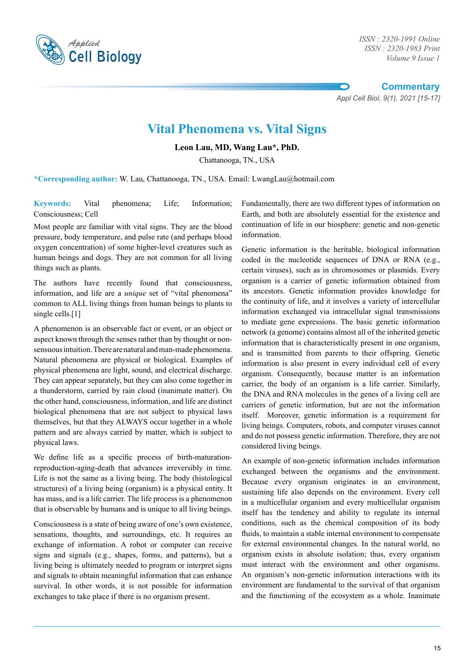

*ISSN : 2320-1983 Print Volume 9 Issue 1*

**Commentary**

*Appl Cell Biol, 9(1), 2021 [15-17]*

## **Vital Phenomena vs. Vital Signs**

**Leon Lau, MD, Wang Lau\*, PhD.**

Chattanooga, TN., USA

**\*Corresponding author:** W. Lau, Chattanooga, TN., USA. Email: LwangLau@hotmail.com

**Keywords:** Vital phenomena; Life; Information; Consciousness; Cell

Most people are familiar with vital signs. They are the blood pressure, body temperature, and pulse rate (and perhaps blood oxygen concentration) of some higher-level creatures such as human beings and dogs. They are not common for all living things such as plants.

The authors have recently found that consciousness, information, and life are a *unique* set of "vital phenomena" common to ALL living things from human beings to plants to single cells.<sup>[1]</sup>

A phenomenon is an observable fact or event, or an object or aspect known through the senses rather than by thought or nonsensuous intuition. There are natural and man-made phenomena. Natural phenomena are physical or biological. Examples of physical phenomena are light, sound, and electrical discharge. They can appear separately, but they can also come together in a thunderstorm, carried by rain cloud (inanimate matter). On the other hand, consciousness, information, and life are distinct biological phenomena that are not subject to physical laws themselves, but that they ALWAYS occur together in a whole pattern and are always carried by matter, which is subject to physical laws.

We define life as a specific process of birth-maturationreproduction-aging-death that advances irreversibly in time. Life is not the same as a living being. The body (histological structures) of a living being (organism) is a physical entity. It has mass, and is a life carrier. The life process is a phenomenon that is observable by humans and is unique to all living beings.

Consciousness is a state of being aware of one's own existence, sensations, thoughts, and surroundings, etc. It requires an exchange of information. A robot or computer can receive signs and signals (e.g., shapes, forms, and patterns), but a living being is ultimately needed to program or interpret signs and signals to obtain meaningful information that can enhance survival. In other words, it is not possible for information exchanges to take place if there is no organism present.

Fundamentally, there are two different types of information on Earth, and both are absolutely essential for the existence and continuation of life in our biosphere: genetic and non-genetic information.

Genetic information is the heritable, biological information coded in the nucleotide sequences of DNA or RNA (e.g., certain viruses), such as in chromosomes or plasmids. Every organism is a carrier of genetic information obtained from its ancestors. Genetic information provides knowledge for the continuity of life, and it involves a variety of intercellular information exchanged via intracellular signal transmissions to mediate gene expressions. The basic genetic information network (a genome) contains almost all of the inherited genetic information that is characteristically present in one organism, and is transmitted from parents to their offspring. Genetic information is also present in every individual cell of every organism. Consequently, because matter is an information carrier, the body of an organism is a life carrier. Similarly, the DNA and RNA molecules in the genes of a living cell are carriers of genetic information, but are not the information itself. Moreover, genetic information is a requirement for living beings. Computers, robots, and computer viruses cannot and do not possess genetic information. Therefore, they are not considered living beings.

An example of non-genetic information includes information exchanged between the organisms and the environment. Because every organism originates in an environment, sustaining life also depends on the environment. Every cell in a multicellular organism and every multicellular organism itself has the tendency and ability to regulate its internal conditions, such as the chemical composition of its body fluids, to maintain a stable internal environment to compensate for external environmental changes. In the natural world, no organism exists in absolute isolation; thus, every organism must interact with the environment and other organisms. An organism's non-genetic information interactions with its environment are fundamental to the survival of that organism and the functioning of the ecosystem as a whole. Inanimate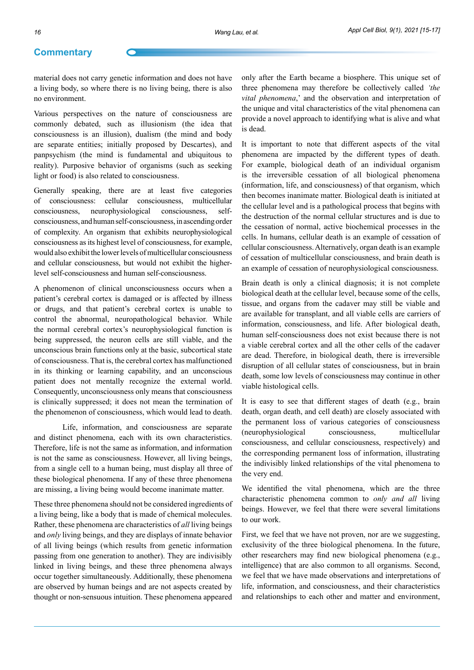## **Commentary**

material does not carry genetic information and does not have a living body, so where there is no living being, there is also no environment.

Various perspectives on the nature of consciousness are commonly debated, such as illusionism (the idea that consciousness is an illusion), dualism (the mind and body are separate entities; initially proposed by Descartes), and panpsychism (the mind is fundamental and ubiquitous to reality). Purposive behavior of organisms (such as seeking light or food) is also related to consciousness.

Generally speaking, there are at least five categories of consciousness: cellular consciousness, multicellular consciousness, neurophysiological consciousness, selfconsciousness, and human self-consciousness, in ascending order of complexity. An organism that exhibits neurophysiological consciousness as its highest level of consciousness, for example, would also exhibit the lower levels of multicellular consciousness and cellular consciousness, but would not exhibit the higherlevel self-consciousness and human self-consciousness.

A phenomenon of clinical unconsciousness occurs when a patient's cerebral cortex is damaged or is affected by illness or drugs, and that patient's cerebral cortex is unable to control the abnormal, neuropathological behavior. While the normal cerebral cortex's neurophysiological function is being suppressed, the neuron cells are still viable, and the unconscious brain functions only at the basic, subcortical state of consciousness. That is, the cerebral cortex has malfunctioned in its thinking or learning capability, and an unconscious patient does not mentally recognize the external world. Consequently, unconsciousness only means that consciousness is clinically suppressed; it does not mean the termination of the phenomenon of consciousness, which would lead to death.

Life, information, and consciousness are separate and distinct phenomena, each with its own characteristics. Therefore, life is not the same as information, and information is not the same as consciousness. However, all living beings, from a single cell to a human being, must display all three of these biological phenomena. If any of these three phenomena are missing, a living being would become inanimate matter.

These three phenomena should not be considered ingredients of a living being, like a body that is made of chemical molecules. Rather, these phenomena are characteristics of *all* living beings and *only* living beings, and they are displays of innate behavior of all living beings (which results from genetic information passing from one generation to another). They are indivisibly linked in living beings, and these three phenomena always occur together simultaneously. Additionally, these phenomena are observed by human beings and are not aspects created by thought or non-sensuous intuition. These phenomena appeared

only after the Earth became a biosphere. This unique set of three phenomena may therefore be collectively called *'the vital phenomena*,' and the observation and interpretation of the unique and vital characteristics of the vital phenomena can provide a novel approach to identifying what is alive and what is dead.

It is important to note that different aspects of the vital phenomena are impacted by the different types of death. For example, biological death of an individual organism is the irreversible cessation of all biological phenomena (information, life, and consciousness) of that organism, which then becomes inanimate matter. Biological death is initiated at the cellular level and is a pathological process that begins with the destruction of the normal cellular structures and is due to the cessation of normal, active biochemical processes in the cells. In humans, cellular death is an example of cessation of cellular consciousness. Alternatively, organ death is an example of cessation of multicellular consciousness, and brain death is an example of cessation of neurophysiological consciousness.

Brain death is only a clinical diagnosis; it is not complete biological death at the cellular level, because some of the cells, tissue, and organs from the cadaver may still be viable and are available for transplant, and all viable cells are carriers of information, consciousness, and life. After biological death, human self-consciousness does not exist because there is not a viable cerebral cortex and all the other cells of the cadaver are dead. Therefore, in biological death, there is irreversible disruption of all cellular states of consciousness, but in brain death, some low levels of consciousness may continue in other viable histological cells.

It is easy to see that different stages of death (e.g., brain death, organ death, and cell death) are closely associated with the permanent loss of various categories of consciousness (neurophysiological consciousness, multicellular consciousness, and cellular consciousness, respectively) and the corresponding permanent loss of information, illustrating the indivisibly linked relationships of the vital phenomena to the very end.

We identified the vital phenomena, which are the three characteristic phenomena common to *only and all* living beings. However, we feel that there were several limitations to our work.

First, we feel that we have not proven, nor are we suggesting, exclusivity of the three biological phenomena. In the future, other researchers may find new biological phenomena (e.g., intelligence) that are also common to all organisms. Second, we feel that we have made observations and interpretations of life, information, and consciousness, and their characteristics and relationships to each other and matter and environment,